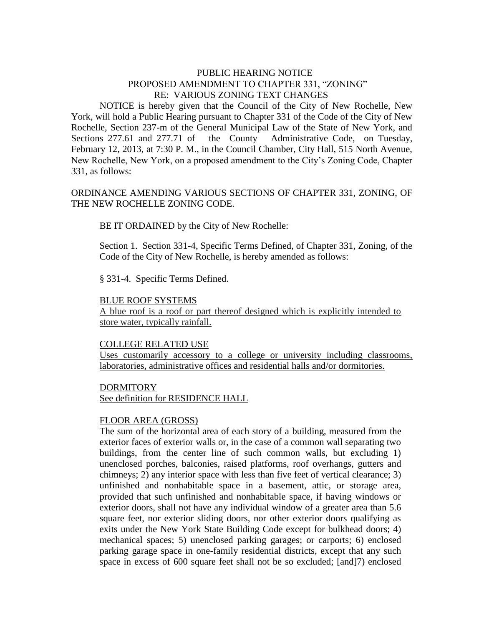### PUBLIC HEARING NOTICE PROPOSED AMENDMENT TO CHAPTER 331, "ZONING" RE: VARIOUS ZONING TEXT CHANGES

NOTICE is hereby given that the Council of the City of New Rochelle, New York, will hold a Public Hearing pursuant to Chapter 331 of the Code of the City of New Rochelle, Section 237-m of the General Municipal Law of the State of New York, and Sections 277.61 and 277.71 of the County Administrative Code, on Tuesday, February 12, 2013, at 7:30 P. M., in the Council Chamber, City Hall, 515 North Avenue, New Rochelle, New York, on a proposed amendment to the City's Zoning Code, Chapter 331, as follows:

## ORDINANCE AMENDING VARIOUS SECTIONS OF CHAPTER 331, ZONING, OF THE NEW ROCHELLE ZONING CODE.

BE IT ORDAINED by the City of New Rochelle:

Section 1. Section 331-4, Specific Terms Defined, of Chapter 331, Zoning, of the Code of the City of New Rochelle, is hereby amended as follows:

§ 331-4. Specific Terms Defined.

#### BLUE ROOF SYSTEMS

A blue roof is a roof or part thereof designed which is explicitly intended to store water, typically rainfall.

#### COLLEGE RELATED USE

Uses customarily accessory to a college or university including classrooms, laboratories, administrative offices and residential halls and/or dormitories.

#### DORMITORY

See definition for RESIDENCE HALL

#### [FLOOR AREA \(GROSS\)](http://www.ecode360.com/6729641#6729641)

The sum of the horizontal area of each story of a building, measured from the exterior faces of exterior walls or, in the case of a common wall separating two buildings, from the center line of such common walls, but excluding 1) unenclosed porches, balconies, raised platforms, roof overhangs, gutters and chimneys; 2) any interior space with less than five feet of vertical clearance; 3) unfinished and nonhabitable space in a basement, attic, or storage area, provided that such unfinished and nonhabitable space, if having windows or exterior doors, shall not have any individual window of a greater area than 5.6 square feet, nor exterior sliding doors, nor other exterior doors qualifying as exits under the New York State Building Code except for bulkhead doors; 4) mechanical spaces; 5) unenclosed parking garages; or carports; 6) enclosed parking garage space in one-family residential districts, except that any such space in excess of 600 square feet shall not be so excluded; [and]7) enclosed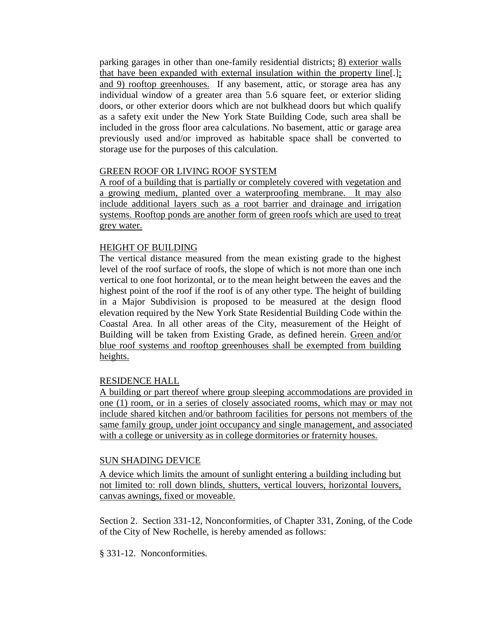parking garages in other than one-family residential districts; 8) exterior walls that have been expanded with external insulation within the property line[.]; and 9) rooftop greenhouses. If any basement, attic, or storage area has any individual window of a greater area than 5.6 square feet, or exterior sliding doors, or other exterior doors which are not bulkhead doors but which qualify as a safety exit under the New York State Building Code, such area shall be included in the gross floor area calculations. No basement, attic or garage area previously used and/or improved as habitable space shall be converted to storage use for the purposes of this calculation.

## GREEN ROOF OR LIVING ROOF SYSTEM

A roof of a building that is partially or completely covered with vegetation and a growing medium, planted over a waterproofing membrane. It may also include additional layers such as a root barrier and drainage and irrigation systems. Rooftop ponds are another form of green roofs which are used to treat grey water.

## [HEIGHT OF BUILDING](http://www.ecode360.com/6729651#6729651)

The vertical distance measured from the mean existing grade to the highest level of the roof surface of roofs, the slope of which is not more than one inch vertical to one foot horizontal, or to the mean height between the eaves and the highest point of the roof if the roof is of any other type. The height of building in a Major Subdivision is proposed to be measured at the design flood elevation required by the New York State Residential Building Code within the Coastal Area. In all other areas of the City, measurement of the Height of Building will be taken from Existing Grade, as defined herein. Green and/or blue roof systems and rooftop greenhouses shall be exempted from building heights.

### RESIDENCE HALL

A building or part thereof where group sleeping accommodations are provided in one (1) room, or in a series of closely associated rooms, which may or may not include shared kitchen and/or bathroom facilities for persons not members of the same family group, under joint occupancy and single management, and associated with a college or university as in college dormitories or fraternity houses.

# SUN SHADING DEVICE

A device which limits the amount of sunlight entering a building including but not limited to: roll down blinds, shutters, vertical louvers, horizontal louvers, canvas awnings, fixed or moveable.

Section 2. Section 331-12, Nonconformities, of Chapter 331, Zoning, of the Code of the City of New Rochelle, is hereby amended as follows:

§ 331-12. Nonconformities.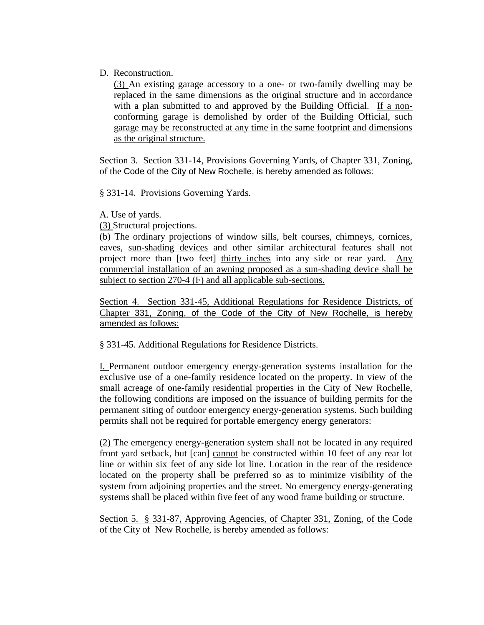## D. Reconstruction.

[\(3\)](http://www.ecode360.com/15299699#15299699) An existing garage accessory to a one- or two-family dwelling may be replaced in the same dimensions as the original structure and in accordance with a plan submitted to and approved by the Building Official. If a nonconforming garage is demolished by order of the Building Official, such garage may be reconstructed at any time in the same footprint and dimensions as the original structure.

Section 3. Section 331-14, Provisions Governing Yards, of Chapter 331, Zoning, of the Code of the City of New Rochelle, is hereby amended as follows:

§ 331-14. Provisions Governing Yards.

[A. U](http://www.ecode360.com/6729850#6729850)se of yards.

[\(3\) S](http://www.ecode360.com/6729858#6729858)tructural projections.

[\(b\) T](http://www.ecode360.com/6729863#6729863)he ordinary projections of window sills, belt courses, chimneys, cornices, eaves, sun-shading devices and other similar architectural features shall not project more than [two feet] thirty inches into any side or rear yard. Any commercial installation of an awning proposed as a sun-shading device shall be subject to section 270-4 (F) and all applicable sub-sections.

Section 4. Section 331-45, Additional Regulations for Residence Districts, of Chapter 331, Zoning, of the Code of the City of New Rochelle, is hereby amended as follows:

§ 331-45. Additional Regulations for Residence Districts.

[I. P](http://www.ecode360.com/6730500#6730500)ermanent outdoor emergency energy-generation systems installation for the exclusive use of a one-family residence located on the property. In view of the small acreage of one-family residential properties in the City of New Rochelle, the following conditions are imposed on the issuance of building permits for the permanent siting of outdoor emergency energy-generation systems. Such building permits shall not be required for portable emergency energy generators:

[\(2\)](http://www.ecode360.com/6730502#6730502) The emergency energy-generation system shall not be located in any required front yard setback, but [can] cannot be constructed within 10 feet of any rear lot line or within six feet of any side lot line. Location in the rear of the residence located on the property shall be preferred so as to minimize visibility of the system from adjoining properties and the street. No emergency energy-generating systems shall be placed within five feet of any wood frame building or structure.

Section 5. § 331-87, Approving Agencies, of Chapter 331, Zoning, of the Code of the City of New Rochelle, is hereby amended as follows: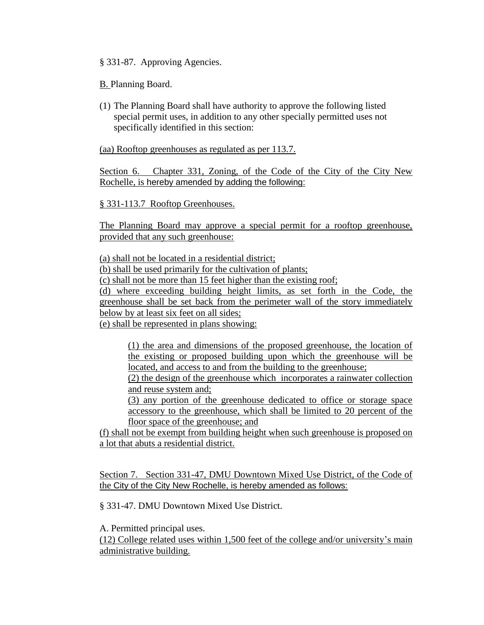§ 331-87. Approving Agencies.

[B. P](http://www.ecode360.com/6731661#6731661)lanning Board.

(1) The Planning Board shall have authority to approve the following listed special permit uses, in addition to any other specially permitted uses not specifically identified in this section:

(aa) Rooftop greenhouses as regulated as per 113.7.

Section 6. Chapter 331, Zoning, of the Code of the City of the City New Rochelle, is hereby amended by adding the following:

§ 331-113.7 Rooftop Greenhouses.

The Planning Board may approve a special permit for a rooftop greenhouse, provided that any such greenhouse:

(a) shall not be located in a residential district;

(b) shall be used primarily for the cultivation of plants;

(c) shall not be more than 15 feet higher than the existing roof;

(d) where exceeding building height limits, as set forth in the Code, the greenhouse shall be set back from the perimeter wall of the story immediately below by at least six feet on all sides;

(e) shall be represented in plans showing:

(1) the area and dimensions of the proposed greenhouse, the location of the existing or proposed building upon which the greenhouse will be located, and access to and from the building to the greenhouse;

(2) the design of the greenhouse which incorporates a rainwater collection and reuse system and;

(3) any portion of the greenhouse dedicated to office or storage space accessory to the greenhouse, which shall be limited to 20 percent of the floor space of the greenhouse; and

(f) shall not be exempt from building height when such greenhouse is proposed on a lot that abuts a residential district.

Section 7. Section 331-47, DMU Downtown Mixed Use District, of the Code of the City of the City New Rochelle, is hereby amended as follows:

§ [331-47. DMU Downtown Mixed Use District.](http://www.ecode360.com/6730506#6730540)

[A.](http://www.ecode360.com/6730506#6730541) Permitted principal uses.

(12) College related uses within 1,500 feet of the college and/or university's main administrative building.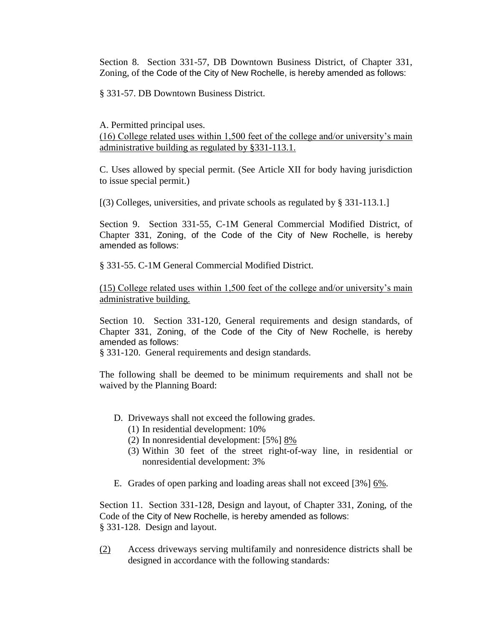Section 8. Section 331-57, DB Downtown Business District, of Chapter 331, Zoning, of the Code of the City of New Rochelle, is hereby amended as follows:

§ [331-57. DB Downtown Business District.](http://www.ecode360.com/6730813#6730872)

[A.](http://www.ecode360.com/6730813#6730873) Permitted principal uses. (16) College related uses within 1,500 feet of the college and/or university's main administrative building as regulated by §331-113.1.

[C. U](http://ecode360.com/6730893#6730893)ses allowed by special permit. (See Article XII for body having jurisdiction to issue special permit.)

[\[\(3\) C](http://ecode360.com/6730896#6730896)olleges, universities, and private schools as regulated by § [331-113.1.](http://ecode360.com/6732186#6732186)]

Section 9. Section 331-55, C-1M General Commercial Modified District, of Chapter 331, Zoning, of the Code of the City of New Rochelle, is hereby amended as follows:

§ [331-55. C-1M General Commercial Modified District.](http://www.ecode360.com/6730813#6730814)

(15) College related uses within 1,500 feet of the college and/or university's main administrative building.

Section 10. Section 331-120, General requirements and design standards, of Chapter 331, Zoning, of the Code of the City of New Rochelle, is hereby amended as follows:

§ 331-120. General requirements and design standards.

The following shall be deemed to be minimum requirements and shall not be waived by the Planning Board:

- D. Driveways shall not exceed the following grades.
	- (1) In residential development: 10%
	- (2) In nonresidential development: [5%] 8%
	- (3) Within 30 feet of the street right-of-way line, in residential or nonresidential development: 3%
- E. Grades of open parking and loading areas shall not exceed [3%] 6%.

Section 11. Section 331-128, Design and layout, of Chapter 331, Zoning, of the Code of the City of New Rochelle, is hereby amended as follows: § 331-128. Design and layout.

[\(2\)](http://ecode360.com/6732369#6732426) Access driveways serving multifamily and nonresidence districts shall be designed in accordance with the following standards: